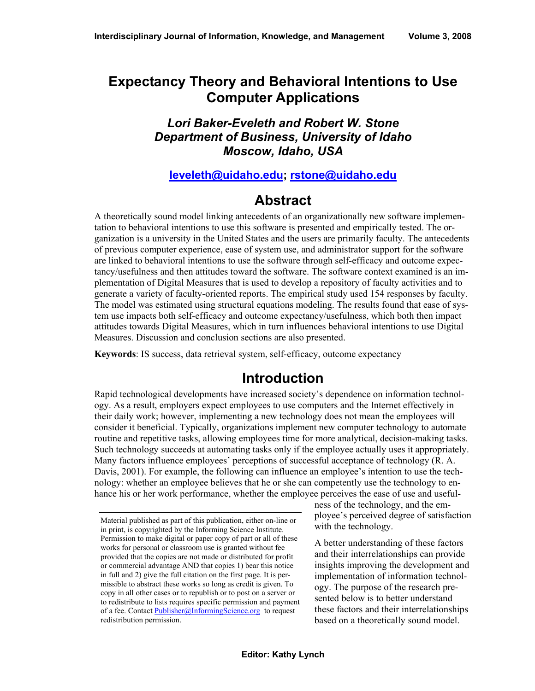## **Expectancy Theory and Behavioral Intentions to Use Computer Applications**

### *Lori Baker-Eveleth and Robert W. Stone Department of Business, University of Idaho Moscow, Idaho, USA*

### **[leveleth@uidaho.edu](mailto:leveleth@uidaho.edu); rstone@uidaho.edu**

## **Abstract**

A theoretically sound model linking antecedents of an organizationally new software implementation to behavioral intentions to use this software is presented and empirically tested. The organization is a university in the United States and the users are primarily faculty. The antecedents of previous computer experience, ease of system use, and administrator support for the software are linked to behavioral intentions to use the software through self-efficacy and outcome expectancy/usefulness and then attitudes toward the software. The software context examined is an implementation of Digital Measures that is used to develop a repository of faculty activities and to generate a variety of faculty-oriented reports. The empirical study used 154 responses by faculty. The model was estimated using structural equations modeling. The results found that ease of system use impacts both self-efficacy and outcome expectancy/usefulness, which both then impact attitudes towards Digital Measures, which in turn influences behavioral intentions to use Digital Measures. Discussion and conclusion sections are also presented.

**Keywords**: IS success, data retrieval system, self-efficacy, outcome expectancy

# **Introduction**

Rapid technological developments have increased society's dependence on information technology. As a result, employers expect employees to use computers and the Internet effectively in their daily work; however, implementing a new technology does not mean the employees will consider it beneficial. Typically, organizations implement new computer technology to automate routine and repetitive tasks, allowing employees time for more analytical, decision-making tasks. Such technology succeeds at automating tasks only if the employee actually uses it appropriately. Many factors influence employees' perceptions of successful acceptance of technology (R. A. Davis, 2001). For example, the following can influence an employee's intention to use the technology: whether an employee believes that he or she can competently use the technology to enhance his or her work performance, whether the employee perceives the ease of use and useful-

ness of the technology, and the employee's perceived degree of satisfaction with the technology.

A better understanding of these factors and their interrelationships can provide insights improving the development and implementation of information technology. The purpose of the research presented below is to better understand these factors and their interrelationships based on a theoretically sound model.

Material published as part of this publication, either on-line or in print, is copyrighted by the Informing Science Institute. Permission to make digital or paper copy of part or all of these works for personal or classroom use is granted without fee provided that the copies are not made or distributed for profit or commercial advantage AND that copies 1) bear this notice in full and 2) give the full citation on the first page. It is permissible to abstract these works so long as credit is given. To copy in all other cases or to republish or to post on a server or to redistribute to lists requires specific permission and payment of a fee. Contact Publisher@InformingScience.org to request redistribution permission.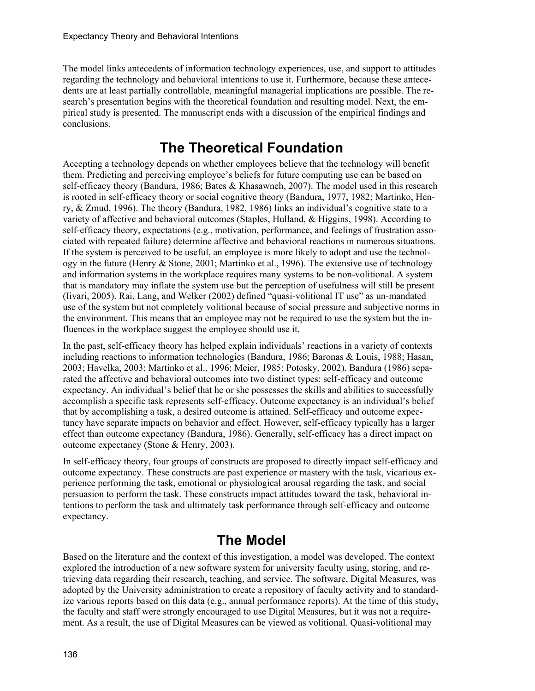The model links antecedents of information technology experiences, use, and support to attitudes regarding the technology and behavioral intentions to use it. Furthermore, because these antecedents are at least partially controllable, meaningful managerial implications are possible. The research's presentation begins with the theoretical foundation and resulting model. Next, the empirical study is presented. The manuscript ends with a discussion of the empirical findings and conclusions.

# **The Theoretical Foundation**

Accepting a technology depends on whether employees believe that the technology will benefit them. Predicting and perceiving employee's beliefs for future computing use can be based on self-efficacy theory (Bandura, 1986; Bates & Khasawneh, 2007). The model used in this research is rooted in self-efficacy theory or social cognitive theory (Bandura, 1977, 1982; Martinko, Henry, & Zmud, 1996). The theory (Bandura, 1982, 1986) links an individual's cognitive state to a variety of affective and behavioral outcomes (Staples, Hulland, & Higgins, 1998). According to self-efficacy theory, expectations (e.g., motivation, performance, and feelings of frustration associated with repeated failure) determine affective and behavioral reactions in numerous situations. If the system is perceived to be useful, an employee is more likely to adopt and use the technology in the future (Henry & Stone, 2001; Martinko et al., 1996). The extensive use of technology and information systems in the workplace requires many systems to be non-volitional. A system that is mandatory may inflate the system use but the perception of usefulness will still be present (Iivari, 2005). Rai, Lang, and Welker (2002) defined "quasi-volitional IT use" as un-mandated use of the system but not completely volitional because of social pressure and subjective norms in the environment. This means that an employee may not be required to use the system but the influences in the workplace suggest the employee should use it.

In the past, self-efficacy theory has helped explain individuals' reactions in a variety of contexts including reactions to information technologies (Bandura, 1986; Baronas & Louis, 1988; Hasan, 2003; Havelka, 2003; Martinko et al., 1996; Meier, 1985; Potosky, 2002). Bandura (1986) separated the affective and behavioral outcomes into two distinct types: self-efficacy and outcome expectancy. An individual's belief that he or she possesses the skills and abilities to successfully accomplish a specific task represents self-efficacy. Outcome expectancy is an individual's belief that by accomplishing a task, a desired outcome is attained. Self-efficacy and outcome expectancy have separate impacts on behavior and effect. However, self-efficacy typically has a larger effect than outcome expectancy (Bandura, 1986). Generally, self-efficacy has a direct impact on outcome expectancy (Stone & Henry, 2003).

In self-efficacy theory, four groups of constructs are proposed to directly impact self-efficacy and outcome expectancy. These constructs are past experience or mastery with the task, vicarious experience performing the task, emotional or physiological arousal regarding the task, and social persuasion to perform the task. These constructs impact attitudes toward the task, behavioral intentions to perform the task and ultimately task performance through self-efficacy and outcome expectancy.

# **The Model**

Based on the literature and the context of this investigation, a model was developed. The context explored the introduction of a new software system for university faculty using, storing, and retrieving data regarding their research, teaching, and service. The software, Digital Measures, was adopted by the University administration to create a repository of faculty activity and to standardize various reports based on this data (e.g., annual performance reports). At the time of this study, the faculty and staff were strongly encouraged to use Digital Measures, but it was not a requirement. As a result, the use of Digital Measures can be viewed as volitional. Quasi-volitional may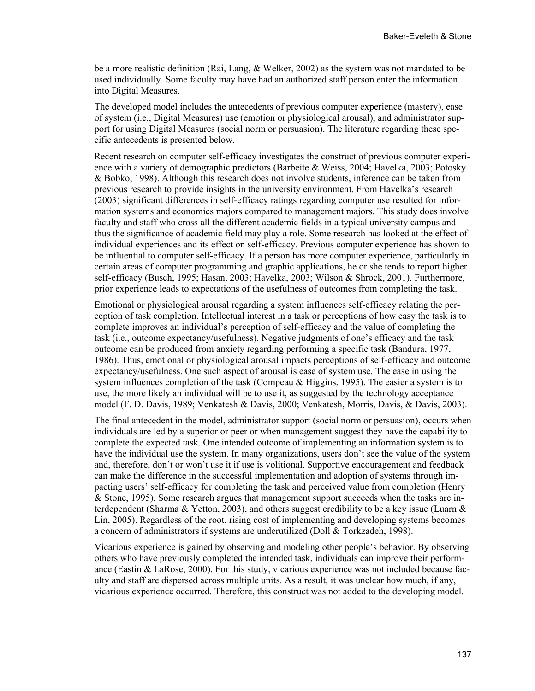be a more realistic definition (Rai, Lang, & Welker, 2002) as the system was not mandated to be used individually. Some faculty may have had an authorized staff person enter the information into Digital Measures.

The developed model includes the antecedents of previous computer experience (mastery), ease of system (i.e., Digital Measures) use (emotion or physiological arousal), and administrator support for using Digital Measures (social norm or persuasion). The literature regarding these specific antecedents is presented below.

Recent research on computer self-efficacy investigates the construct of previous computer experience with a variety of demographic predictors (Barbeite & Weiss, 2004; Havelka, 2003; Potosky & Bobko, 1998). Although this research does not involve students, inference can be taken from previous research to provide insights in the university environment. From Havelka's research (2003) significant differences in self-efficacy ratings regarding computer use resulted for information systems and economics majors compared to management majors. This study does involve faculty and staff who cross all the different academic fields in a typical university campus and thus the significance of academic field may play a role. Some research has looked at the effect of individual experiences and its effect on self-efficacy. Previous computer experience has shown to be influential to computer self-efficacy. If a person has more computer experience, particularly in certain areas of computer programming and graphic applications, he or she tends to report higher self-efficacy (Busch, 1995; Hasan, 2003; Havelka, 2003; Wilson & Shrock, 2001). Furthermore, prior experience leads to expectations of the usefulness of outcomes from completing the task.

Emotional or physiological arousal regarding a system influences self-efficacy relating the perception of task completion. Intellectual interest in a task or perceptions of how easy the task is to complete improves an individual's perception of self-efficacy and the value of completing the task (i.e., outcome expectancy/usefulness). Negative judgments of one's efficacy and the task outcome can be produced from anxiety regarding performing a specific task (Bandura, 1977, 1986). Thus, emotional or physiological arousal impacts perceptions of self-efficacy and outcome expectancy/usefulness. One such aspect of arousal is ease of system use. The ease in using the system influences completion of the task (Compeau  $\&$  Higgins, 1995). The easier a system is to use, the more likely an individual will be to use it, as suggested by the technology acceptance model (F. D. Davis, 1989; Venkatesh & Davis, 2000; Venkatesh, Morris, Davis, & Davis, 2003).

The final antecedent in the model, administrator support (social norm or persuasion), occurs when individuals are led by a superior or peer or when management suggest they have the capability to complete the expected task. One intended outcome of implementing an information system is to have the individual use the system. In many organizations, users don't see the value of the system and, therefore, don't or won't use it if use is volitional. Supportive encouragement and feedback can make the difference in the successful implementation and adoption of systems through impacting users' self-efficacy for completing the task and perceived value from completion (Henry & Stone, 1995). Some research argues that management support succeeds when the tasks are interdependent (Sharma & Yetton, 2003), and others suggest credibility to be a key issue (Luarn & Lin, 2005). Regardless of the root, rising cost of implementing and developing systems becomes a concern of administrators if systems are underutilized (Doll & Torkzadeh, 1998).

Vicarious experience is gained by observing and modeling other people's behavior. By observing others who have previously completed the intended task, individuals can improve their performance (Eastin & LaRose, 2000). For this study, vicarious experience was not included because faculty and staff are dispersed across multiple units. As a result, it was unclear how much, if any, vicarious experience occurred. Therefore, this construct was not added to the developing model.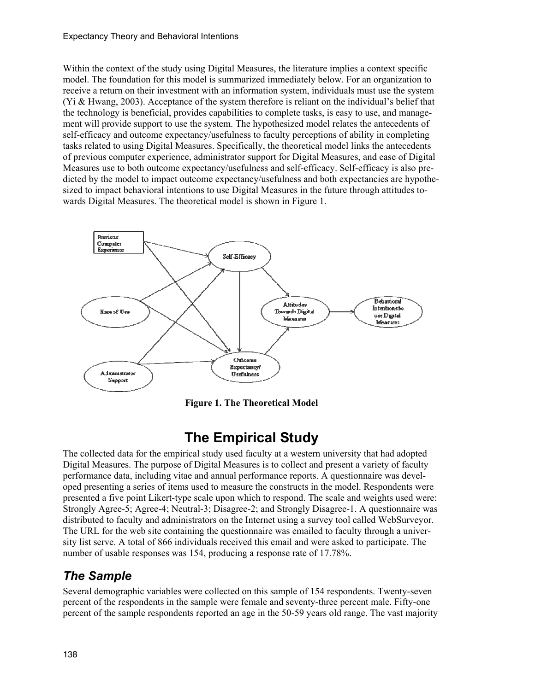#### Expectancy Theory and Behavioral Intentions

Within the context of the study using Digital Measures, the literature implies a context specific model. The foundation for this model is summarized immediately below. For an organization to receive a return on their investment with an information system, individuals must use the system (Yi & Hwang, 2003). Acceptance of the system therefore is reliant on the individual's belief that the technology is beneficial, provides capabilities to complete tasks, is easy to use, and management will provide support to use the system. The hypothesized model relates the antecedents of self-efficacy and outcome expectancy/usefulness to faculty perceptions of ability in completing tasks related to using Digital Measures. Specifically, the theoretical model links the antecedents of previous computer experience, administrator support for Digital Measures, and ease of Digital Measures use to both outcome expectancy/usefulness and self-efficacy. Self-efficacy is also predicted by the model to impact outcome expectancy/usefulness and both expectancies are hypothesized to impact behavioral intentions to use Digital Measures in the future through attitudes towards Digital Measures. The theoretical model is shown in Figure 1.



**Figure 1. The Theoretical Model** 

# **The Empirical Study**

The collected data for the empirical study used faculty at a western university that had adopted Digital Measures. The purpose of Digital Measures is to collect and present a variety of faculty performance data, including vitae and annual performance reports. A questionnaire was developed presenting a series of items used to measure the constructs in the model. Respondents were presented a five point Likert-type scale upon which to respond. The scale and weights used were: Strongly Agree-5; Agree-4; Neutral-3; Disagree-2; and Strongly Disagree-1. A questionnaire was distributed to faculty and administrators on the Internet using a survey tool called WebSurveyor. The URL for the web site containing the questionnaire was emailed to faculty through a university list serve. A total of 866 individuals received this email and were asked to participate. The number of usable responses was 154, producing a response rate of 17.78%.

### *The Sample*

Several demographic variables were collected on this sample of 154 respondents. Twenty-seven percent of the respondents in the sample were female and seventy-three percent male. Fifty-one percent of the sample respondents reported an age in the 50-59 years old range. The vast majority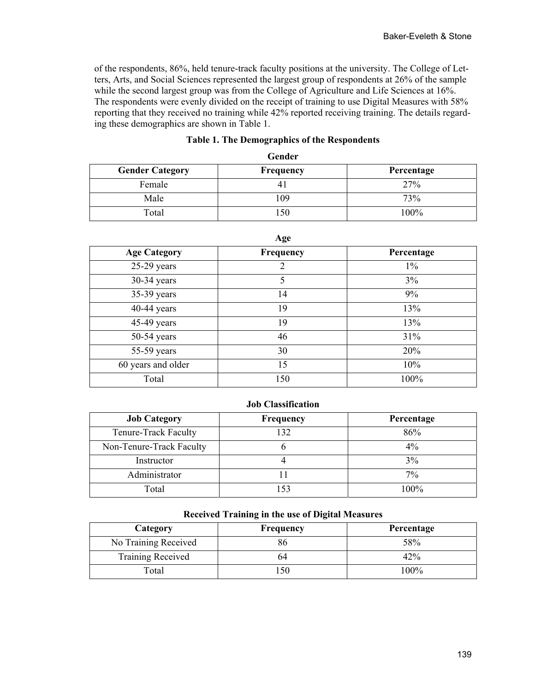of the respondents, 86%, held tenure-track faculty positions at the university. The College of Letters, Arts, and Social Sciences represented the largest group of respondents at 26% of the sample while the second largest group was from the College of Agriculture and Life Sciences at 16%. The respondents were evenly divided on the receipt of training to use Digital Measures with 58% reporting that they received no training while 42% reported receiving training. The details regarding these demographics are shown in Table 1.

| Gender                 |           |            |  |
|------------------------|-----------|------------|--|
| <b>Gender Category</b> | Frequency | Percentage |  |
| Female                 |           | 27%        |  |
| Male                   | 109       | 73%        |  |
| Total                  | 150       | 100%       |  |

#### **Table 1. The Demographics of the Respondents**

| ۰. |  |
|----|--|
|----|--|

| 0                   |                  |            |  |
|---------------------|------------------|------------|--|
| <b>Age Category</b> | <b>Frequency</b> | Percentage |  |
| $25-29$ years       | 2                | $1\%$      |  |
| 30-34 years         | 5                | 3%         |  |
| $35-39$ years       | 14               | 9%         |  |
| $40-44$ years       | 19               | 13%        |  |
| $45-49$ years       | 19               | 13%        |  |
| $50-54$ years       | 46               | 31%        |  |
| 55-59 years         | 30               | 20%        |  |
| 60 years and older  | 15               | 10%        |  |
| Total               | 150              | 100%       |  |

#### **Job Classification**

| <b>Job Category</b>      | <b>Frequency</b> | Percentage |
|--------------------------|------------------|------------|
| Tenure-Track Faculty     | 132              | 86%        |
| Non-Tenure-Track Faculty |                  | $4\%$      |
| Instructor               |                  | 3%         |
| Administrator            |                  | 7%         |
| Total                    |                  | 100%       |

#### **Received Training in the use of Digital Measures**

| Category                 | <b>Frequency</b> | Percentage |
|--------------------------|------------------|------------|
| No Training Received     |                  | 58%        |
| <b>Training Received</b> | 64               | 42%        |
| Total                    |                  | 100%       |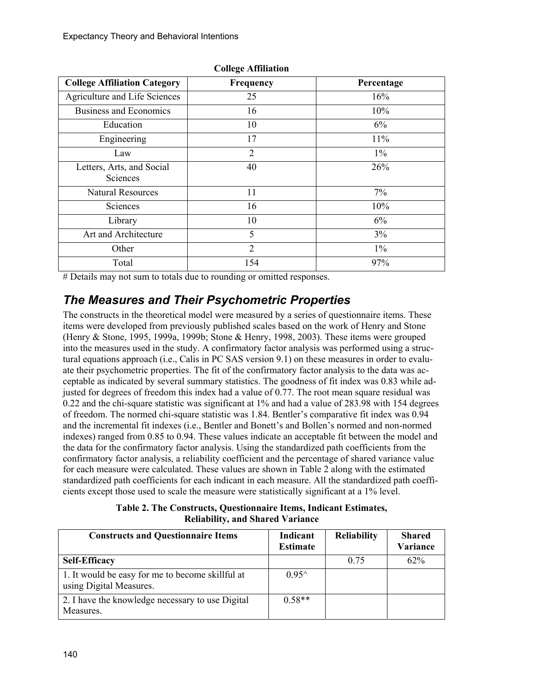| <b>College Affiliation Category</b>   | Frequency      | Percentage |
|---------------------------------------|----------------|------------|
| Agriculture and Life Sciences         | 25             | 16%        |
| <b>Business and Economics</b>         | 16             | 10%        |
| Education                             | 10             | 6%         |
| Engineering                           | 17             | 11%        |
| Law                                   | $\overline{2}$ | $1\%$      |
| Letters, Arts, and Social<br>Sciences | 40             | 26%        |
| <b>Natural Resources</b>              | 11             | $7\%$      |
| Sciences                              | 16             | 10%        |
| Library                               | 10             | 6%         |
| Art and Architecture                  | 5              | $3\%$      |
| Other                                 | $\overline{2}$ | $1\%$      |
| Total                                 | 154            | 97%        |

**College Affiliation** 

# Details may not sum to totals due to rounding or omitted responses.

## *The Measures and Their Psychometric Properties*

The constructs in the theoretical model were measured by a series of questionnaire items. These items were developed from previously published scales based on the work of Henry and Stone (Henry & Stone, 1995, 1999a, 1999b; Stone & Henry, 1998, 2003). These items were grouped into the measures used in the study. A confirmatory factor analysis was performed using a structural equations approach (i.e., Calis in PC SAS version 9.1) on these measures in order to evaluate their psychometric properties. The fit of the confirmatory factor analysis to the data was acceptable as indicated by several summary statistics. The goodness of fit index was 0.83 while adjusted for degrees of freedom this index had a value of 0.77. The root mean square residual was 0.22 and the chi-square statistic was significant at 1% and had a value of 283.98 with 154 degrees of freedom. The normed chi-square statistic was 1.84. Bentler's comparative fit index was 0.94 and the incremental fit indexes (i.e., Bentler and Bonett's and Bollen's normed and non-normed indexes) ranged from 0.85 to 0.94. These values indicate an acceptable fit between the model and the data for the confirmatory factor analysis. Using the standardized path coefficients from the confirmatory factor analysis, a reliability coefficient and the percentage of shared variance value for each measure were calculated. These values are shown in Table 2 along with the estimated standardized path coefficients for each indicant in each measure. All the standardized path coefficients except those used to scale the measure were statistically significant at a 1% level.

**Table 2. The Constructs, Questionnaire Items, Indicant Estimates, Reliability, and Shared Variance** 

| <b>Constructs and Questionnaire Items</b>                                   | Indicant<br><b>Estimate</b> | <b>Reliability</b> | <b>Shared</b><br>Variance |
|-----------------------------------------------------------------------------|-----------------------------|--------------------|---------------------------|
| <b>Self-Efficacy</b>                                                        |                             | 0.75               | $62\%$                    |
| 1. It would be easy for me to become skillful at<br>using Digital Measures. | $0.95^{\wedge}$             |                    |                           |
| 2. I have the knowledge necessary to use Digital<br>Measures.               | $0.58**$                    |                    |                           |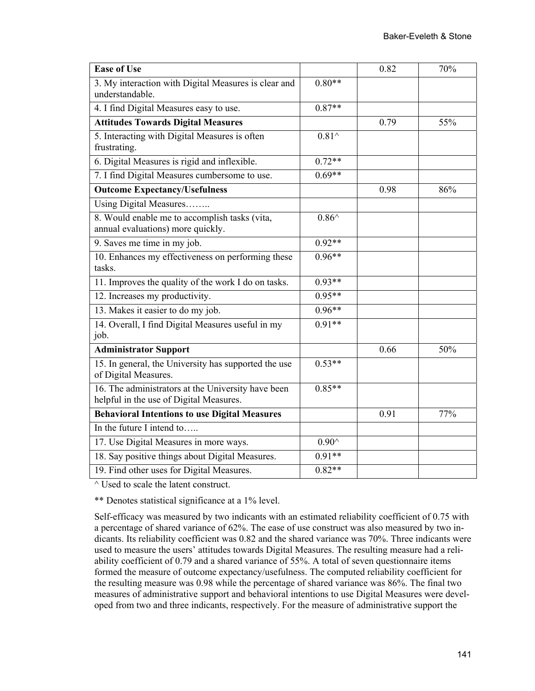| <b>Ease of Use</b>                                                                            |                 | 0.82 | 70% |
|-----------------------------------------------------------------------------------------------|-----------------|------|-----|
| 3. My interaction with Digital Measures is clear and<br>understandable.                       | $0.80**$        |      |     |
| 4. I find Digital Measures easy to use.                                                       | $0.87**$        |      |     |
| <b>Attitudes Towards Digital Measures</b>                                                     |                 | 0.79 | 55% |
| 5. Interacting with Digital Measures is often<br>frustrating.                                 | $0.81^{\wedge}$ |      |     |
| 6. Digital Measures is rigid and inflexible.                                                  | $0.72**$        |      |     |
| 7. I find Digital Measures cumbersome to use.                                                 | $0.69**$        |      |     |
| <b>Outcome Expectancy/Usefulness</b>                                                          |                 | 0.98 | 86% |
| Using Digital Measures                                                                        |                 |      |     |
| 8. Would enable me to accomplish tasks (vita,<br>annual evaluations) more quickly.            | $0.86^{\wedge}$ |      |     |
| 9. Saves me time in my job.                                                                   | $0.92**$        |      |     |
| 10. Enhances my effectiveness on performing these<br>tasks.                                   | $0.96**$        |      |     |
| 11. Improves the quality of the work I do on tasks.                                           | $0.93**$        |      |     |
| 12. Increases my productivity.                                                                | $0.95**$        |      |     |
| 13. Makes it easier to do my job.                                                             | $0.96**$        |      |     |
| 14. Overall, I find Digital Measures useful in my<br>job.                                     | $0.91**$        |      |     |
| <b>Administrator Support</b>                                                                  |                 | 0.66 | 50% |
| 15. In general, the University has supported the use<br>of Digital Measures.                  | $0.53**$        |      |     |
| 16. The administrators at the University have been<br>helpful in the use of Digital Measures. | $0.85**$        |      |     |
| <b>Behavioral Intentions to use Digital Measures</b>                                          |                 | 0.91 | 77% |
| In the future I intend to                                                                     |                 |      |     |
| 17. Use Digital Measures in more ways.                                                        | $0.90^{\wedge}$ |      |     |
| 18. Say positive things about Digital Measures.                                               | $0.91**$        |      |     |
| 19. Find other uses for Digital Measures.                                                     | $0.82**$        |      |     |

^ Used to scale the latent construct.

\*\* Denotes statistical significance at a 1% level.

Self-efficacy was measured by two indicants with an estimated reliability coefficient of 0.75 with a percentage of shared variance of 62%. The ease of use construct was also measured by two indicants. Its reliability coefficient was 0.82 and the shared variance was 70%. Three indicants were used to measure the users' attitudes towards Digital Measures. The resulting measure had a reliability coefficient of 0.79 and a shared variance of 55%. A total of seven questionnaire items formed the measure of outcome expectancy/usefulness. The computed reliability coefficient for the resulting measure was 0.98 while the percentage of shared variance was 86%. The final two measures of administrative support and behavioral intentions to use Digital Measures were developed from two and three indicants, respectively. For the measure of administrative support the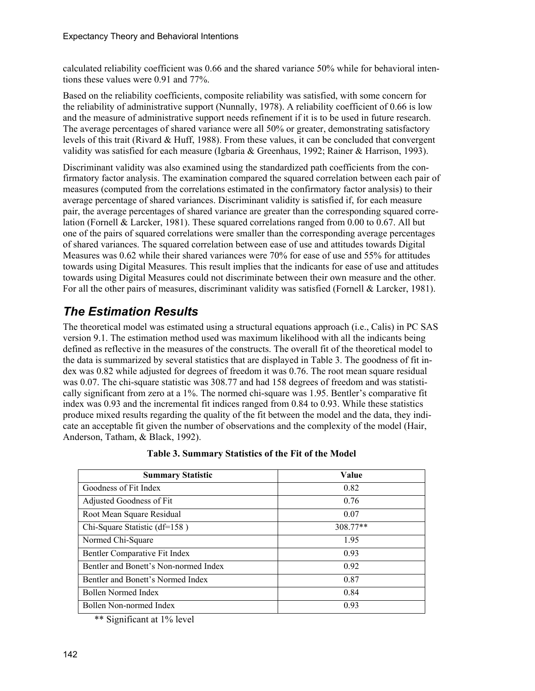calculated reliability coefficient was 0.66 and the shared variance 50% while for behavioral intentions these values were 0.91 and 77%.

Based on the reliability coefficients, composite reliability was satisfied, with some concern for the reliability of administrative support (Nunnally, 1978). A reliability coefficient of 0.66 is low and the measure of administrative support needs refinement if it is to be used in future research. The average percentages of shared variance were all 50% or greater, demonstrating satisfactory levels of this trait (Rivard & Huff, 1988). From these values, it can be concluded that convergent validity was satisfied for each measure (Igbaria & Greenhaus, 1992; Rainer & Harrison, 1993).

Discriminant validity was also examined using the standardized path coefficients from the confirmatory factor analysis. The examination compared the squared correlation between each pair of measures (computed from the correlations estimated in the confirmatory factor analysis) to their average percentage of shared variances. Discriminant validity is satisfied if, for each measure pair, the average percentages of shared variance are greater than the corresponding squared correlation (Fornell & Larcker, 1981). These squared correlations ranged from 0.00 to 0.67. All but one of the pairs of squared correlations were smaller than the corresponding average percentages of shared variances. The squared correlation between ease of use and attitudes towards Digital Measures was 0.62 while their shared variances were 70% for ease of use and 55% for attitudes towards using Digital Measures. This result implies that the indicants for ease of use and attitudes towards using Digital Measures could not discriminate between their own measure and the other. For all the other pairs of measures, discriminant validity was satisfied (Fornell & Larcker, 1981).

## *The Estimation Results*

The theoretical model was estimated using a structural equations approach (i.e., Calis) in PC SAS version 9.1. The estimation method used was maximum likelihood with all the indicants being defined as reflective in the measures of the constructs. The overall fit of the theoretical model to the data is summarized by several statistics that are displayed in Table 3. The goodness of fit index was 0.82 while adjusted for degrees of freedom it was 0.76. The root mean square residual was 0.07. The chi-square statistic was 308.77 and had 158 degrees of freedom and was statistically significant from zero at a 1%. The normed chi-square was 1.95. Bentler's comparative fit index was 0.93 and the incremental fit indices ranged from 0.84 to 0.93. While these statistics produce mixed results regarding the quality of the fit between the model and the data, they indicate an acceptable fit given the number of observations and the complexity of the model (Hair, Anderson, Tatham, & Black, 1992).

| <b>Summary Statistic</b>              | Value    |
|---------------------------------------|----------|
| Goodness of Fit Index                 | 0.82     |
| Adjusted Goodness of Fit              | 0.76     |
| Root Mean Square Residual             | 0.07     |
| Chi-Square Statistic (df=158)         | 308.77** |
| Normed Chi-Square                     | 1.95     |
| Bentler Comparative Fit Index         | 0.93     |
| Bentler and Bonett's Non-normed Index | 0.92     |
| Bentler and Bonett's Normed Index     | 0.87     |
| Bollen Normed Index                   | 0.84     |
| Bollen Non-normed Index               | 0.93     |

#### **Table 3. Summary Statistics of the Fit of the Model**

\*\* Significant at 1% level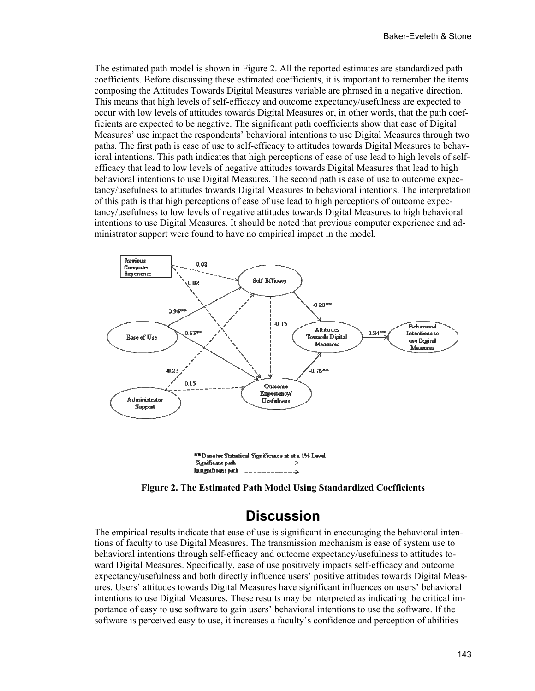The estimated path model is shown in Figure 2. All the reported estimates are standardized path coefficients. Before discussing these estimated coefficients, it is important to remember the items composing the Attitudes Towards Digital Measures variable are phrased in a negative direction. This means that high levels of self-efficacy and outcome expectancy/usefulness are expected to occur with low levels of attitudes towards Digital Measures or, in other words, that the path coefficients are expected to be negative. The significant path coefficients show that ease of Digital Measures' use impact the respondents' behavioral intentions to use Digital Measures through two paths. The first path is ease of use to self-efficacy to attitudes towards Digital Measures to behavioral intentions. This path indicates that high perceptions of ease of use lead to high levels of selfefficacy that lead to low levels of negative attitudes towards Digital Measures that lead to high behavioral intentions to use Digital Measures. The second path is ease of use to outcome expectancy/usefulness to attitudes towards Digital Measures to behavioral intentions. The interpretation of this path is that high perceptions of ease of use lead to high perceptions of outcome expectancy/usefulness to low levels of negative attitudes towards Digital Measures to high behavioral intentions to use Digital Measures. It should be noted that previous computer experience and administrator support were found to have no empirical impact in the model.



**Figure 2. The Estimated Path Model Using Standardized Coefficients** 

### **Discussion**

The empirical results indicate that ease of use is significant in encouraging the behavioral intentions of faculty to use Digital Measures. The transmission mechanism is ease of system use to behavioral intentions through self-efficacy and outcome expectancy/usefulness to attitudes toward Digital Measures. Specifically, ease of use positively impacts self-efficacy and outcome expectancy/usefulness and both directly influence users' positive attitudes towards Digital Measures. Users' attitudes towards Digital Measures have significant influences on users' behavioral intentions to use Digital Measures. These results may be interpreted as indicating the critical importance of easy to use software to gain users' behavioral intentions to use the software. If the software is perceived easy to use, it increases a faculty's confidence and perception of abilities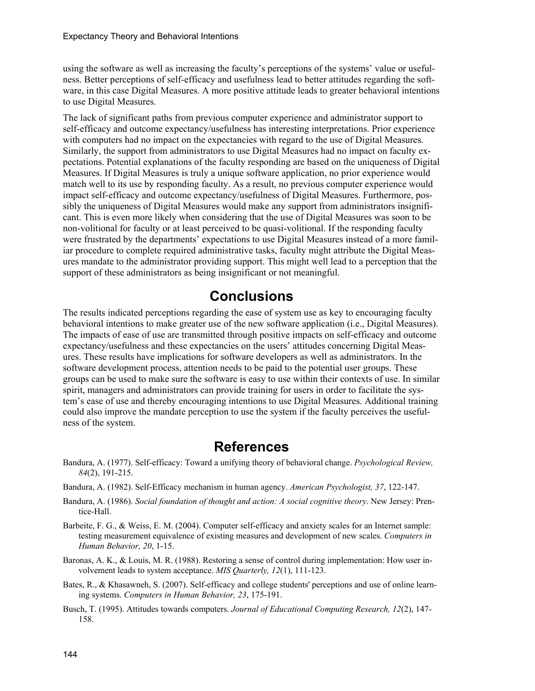using the software as well as increasing the faculty's perceptions of the systems' value or usefulness. Better perceptions of self-efficacy and usefulness lead to better attitudes regarding the software, in this case Digital Measures. A more positive attitude leads to greater behavioral intentions to use Digital Measures.

The lack of significant paths from previous computer experience and administrator support to self-efficacy and outcome expectancy/usefulness has interesting interpretations. Prior experience with computers had no impact on the expectancies with regard to the use of Digital Measures. Similarly, the support from administrators to use Digital Measures had no impact on faculty expectations. Potential explanations of the faculty responding are based on the uniqueness of Digital Measures. If Digital Measures is truly a unique software application, no prior experience would match well to its use by responding faculty. As a result, no previous computer experience would impact self-efficacy and outcome expectancy/usefulness of Digital Measures. Furthermore, possibly the uniqueness of Digital Measures would make any support from administrators insignificant. This is even more likely when considering that the use of Digital Measures was soon to be non-volitional for faculty or at least perceived to be quasi-volitional. If the responding faculty were frustrated by the departments' expectations to use Digital Measures instead of a more familiar procedure to complete required administrative tasks, faculty might attribute the Digital Measures mandate to the administrator providing support. This might well lead to a perception that the support of these administrators as being insignificant or not meaningful.

# **Conclusions**

The results indicated perceptions regarding the ease of system use as key to encouraging faculty behavioral intentions to make greater use of the new software application (i.e., Digital Measures). The impacts of ease of use are transmitted through positive impacts on self-efficacy and outcome expectancy/usefulness and these expectancies on the users' attitudes concerning Digital Measures. These results have implications for software developers as well as administrators. In the software development process, attention needs to be paid to the potential user groups. These groups can be used to make sure the software is easy to use within their contexts of use. In similar spirit, managers and administrators can provide training for users in order to facilitate the system's ease of use and thereby encouraging intentions to use Digital Measures. Additional training could also improve the mandate perception to use the system if the faculty perceives the usefulness of the system.

### **References**

- Bandura, A. (1977). Self-efficacy: Toward a unifying theory of behavioral change. *Psychological Review, 84*(2), 191-215.
- Bandura, A. (1982). Self-Efficacy mechanism in human agency. *American Psychologist, 37*, 122-147.
- Bandura, A. (1986). *Social foundation of thought and action: A social cognitive theory*. New Jersey: Prentice-Hall.
- Barbeite, F. G., & Weiss, E. M. (2004). Computer self-efficacy and anxiety scales for an Internet sample: testing measurement equivalence of existing measures and development of new scales. *Computers in Human Behavior, 20*, 1-15.
- Baronas, A. K., & Louis, M. R. (1988). Restoring a sense of control during implementation: How user involvement leads to system acceptance. *MIS Quarterly, 12*(1), 111-123.
- Bates, R., & Khasawneh, S. (2007). Self-efficacy and college students' perceptions and use of online learning systems. *Computers in Human Behavior, 23*, 175-191.
- Busch, T. (1995). Attitudes towards computers. *Journal of Educational Computing Research, 12*(2), 147- 158.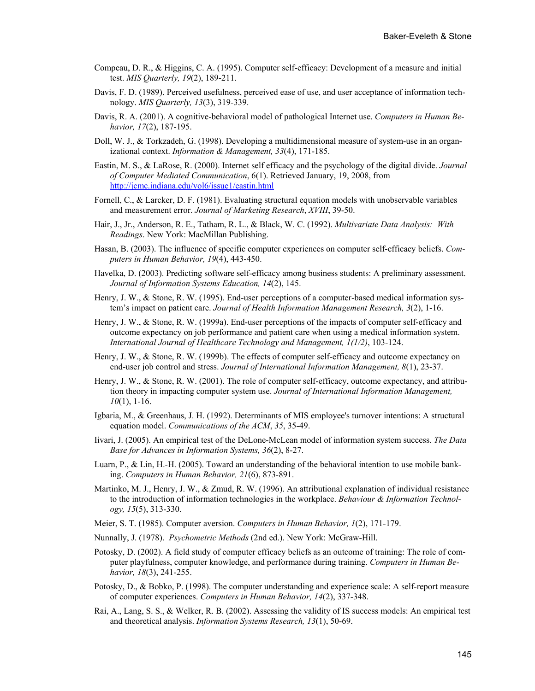- Compeau, D. R., & Higgins, C. A. (1995). Computer self-efficacy: Development of a measure and initial test. *MIS Quarterly, 19*(2), 189-211.
- Davis, F. D. (1989). Perceived usefulness, perceived ease of use, and user acceptance of information technology. *MIS Quarterly, 13*(3), 319-339.
- Davis, R. A. (2001). A cognitive-behavioral model of pathological Internet use. *Computers in Human Behavior, 17*(2), 187-195.
- Doll, W. J., & Torkzadeh, G. (1998). Developing a multidimensional measure of system-use in an organizational context. *Information & Management, 33*(4), 171-185.
- Eastin, M. S., & LaRose, R. (2000). Internet self efficacy and the psychology of the digital divide. *Journal of Computer Mediated Communication*, 6(1). Retrieved January, 19, 2008, from <http://jcmc.indiana.edu/vol6/issue1/eastin.html>
- Fornell, C., & Larcker, D. F. (1981). Evaluating structural equation models with unobservable variables and measurement error. *Journal of Marketing Research*, *XVIII*, 39-50.
- Hair, J., Jr., Anderson, R. E., Tatham, R. L., & Black, W. C. (1992). *Multivariate Data Analysis: With Readings*. New York: MacMillan Publishing.
- Hasan, B. (2003). The influence of specific computer experiences on computer self-efficacy beliefs. *Computers in Human Behavior, 19*(4), 443-450.
- Havelka, D. (2003). Predicting software self-efficacy among business students: A preliminary assessment. *Journal of Information Systems Education, 14*(2), 145.
- Henry, J. W., & Stone, R. W. (1995). End-user perceptions of a computer-based medical information system's impact on patient care. *Journal of Health Information Management Research, 3*(2), 1-16.
- Henry, J. W., & Stone, R. W. (1999a). End-user perceptions of the impacts of computer self-efficacy and outcome expectancy on job performance and patient care when using a medical information system. *International Journal of Healthcare Technology and Management, 1(1/2)*, 103-124.
- Henry, J. W., & Stone, R. W. (1999b). The effects of computer self-efficacy and outcome expectancy on end-user job control and stress. *Journal of International Information Management, 8*(1), 23-37.
- Henry, J. W., & Stone, R. W. (2001). The role of computer self-efficacy, outcome expectancy, and attribution theory in impacting computer system use. *Journal of International Information Management, 10*(1), 1-16.
- Igbaria, M., & Greenhaus, J. H. (1992). Determinants of MIS employee's turnover intentions: A structural equation model. *Communications of the ACM*, *35*, 35-49.
- Iivari, J. (2005). An empirical test of the DeLone-McLean model of information system success. *The Data Base for Advances in Information Systems, 36*(2), 8-27.
- Luarn, P., & Lin, H.-H. (2005). Toward an understanding of the behavioral intention to use mobile banking. *Computers in Human Behavior, 21*(6), 873-891.
- Martinko, M. J., Henry, J. W., & Zmud, R. W. (1996). An attributional explanation of individual resistance to the introduction of information technologies in the workplace. *Behaviour & Information Technology, 15*(5), 313-330.
- Meier, S. T. (1985). Computer aversion. *Computers in Human Behavior, 1*(2), 171-179.
- Nunnally, J. (1978). *Psychometric Methods* (2nd ed.). New York: McGraw-Hill.
- Potosky, D. (2002). A field study of computer efficacy beliefs as an outcome of training: The role of computer playfulness, computer knowledge, and performance during training. *Computers in Human Behavior, 18*(3), 241-255.
- Potosky, D., & Bobko, P. (1998). The computer understanding and experience scale: A self-report measure of computer experiences. *Computers in Human Behavior, 14*(2), 337-348.
- Rai, A., Lang, S. S., & Welker, R. B. (2002). Assessing the validity of IS success models: An empirical test and theoretical analysis. *Information Systems Research, 13*(1), 50-69.